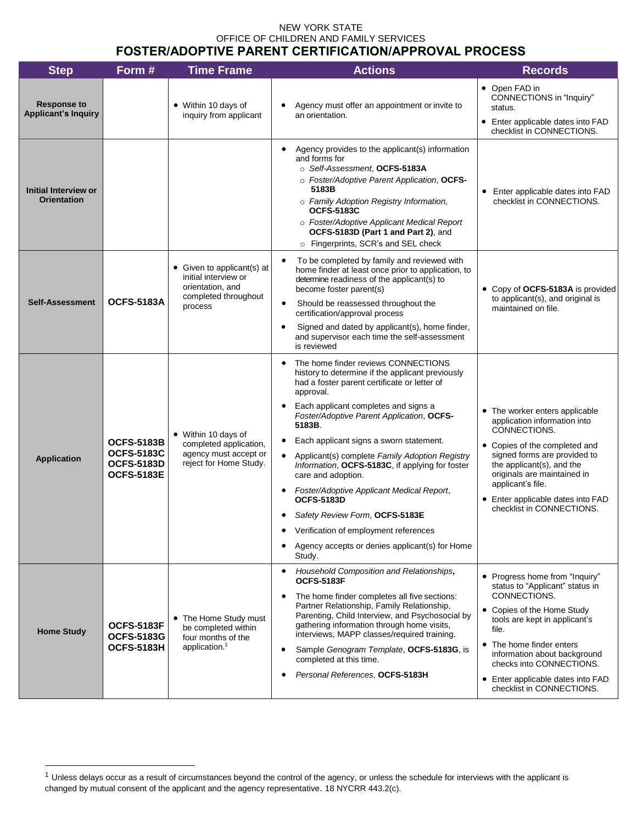## NEW YORK STATE OFFICE OF CHILDREN AND FAMILY SERVICES FOSTER/ADOPTIVE PARENT CERTIFICATION/APPROVAL PROCESS

| <b>Step</b>                                      | Form #                                                                           | <b>Time Frame</b>                                                                                         | <b>Actions</b>                                                                                                                                                                                                                                                                                                                                                                                                                                                                                                                                                                                                                                       | <b>Records</b>                                                                                                                                                                                                                                                                                                      |
|--------------------------------------------------|----------------------------------------------------------------------------------|-----------------------------------------------------------------------------------------------------------|------------------------------------------------------------------------------------------------------------------------------------------------------------------------------------------------------------------------------------------------------------------------------------------------------------------------------------------------------------------------------------------------------------------------------------------------------------------------------------------------------------------------------------------------------------------------------------------------------------------------------------------------------|---------------------------------------------------------------------------------------------------------------------------------------------------------------------------------------------------------------------------------------------------------------------------------------------------------------------|
| <b>Response to</b><br><b>Applicant's Inquiry</b> |                                                                                  | • Within 10 days of<br>inquiry from applicant                                                             | Agency must offer an appointment or invite to<br>an orientation.                                                                                                                                                                                                                                                                                                                                                                                                                                                                                                                                                                                     | • Open FAD in<br>CONNECTIONS in "Inquiry"<br>status.<br>• Enter applicable dates into FAD<br>checklist in CONNECTIONS.                                                                                                                                                                                              |
| Initial Interview or<br><b>Orientation</b>       |                                                                                  |                                                                                                           | Agency provides to the applicant(s) information<br>and forms for<br>○ Self-Assessment, OCFS-5183A<br>o Foster/Adoptive Parent Application, OCFS-<br>5183B<br>o Family Adoption Registry Information,<br><b>OCFS-5183C</b><br>o Foster/Adoptive Applicant Medical Report<br>OCFS-5183D (Part 1 and Part 2), and<br>o Fingerprints, SCR's and SEL check                                                                                                                                                                                                                                                                                                | • Enter applicable dates into FAD<br>checklist in CONNECTIONS.                                                                                                                                                                                                                                                      |
| <b>Self-Assessment</b>                           | <b>OCFS-5183A</b>                                                                | • Given to applicant(s) at<br>initial interview or<br>orientation, and<br>completed throughout<br>process | To be completed by family and reviewed with<br>$\bullet$<br>home finder at least once prior to application, to<br>determine readiness of the applicant(s) to<br>become foster parent(s)<br>$\bullet$<br>Should be reassessed throughout the<br>certification/approval process<br>Signed and dated by applicant(s), home finder,<br>$\bullet$<br>and supervisor each time the self-assessment<br>is reviewed                                                                                                                                                                                                                                          | • Copy of OCFS-5183A is provided<br>to applicant(s), and original is<br>maintained on file.                                                                                                                                                                                                                         |
| <b>Application</b>                               | <b>OCFS-5183B</b><br><b>OCFS-5183C</b><br><b>OCFS-5183D</b><br><b>OCFS-5183E</b> | • Within 10 days of<br>completed application,<br>agency must accept or<br>reject for Home Study.          | The home finder reviews CONNECTIONS<br>history to determine if the applicant previously<br>had a foster parent certificate or letter of<br>approval.<br>Each applicant completes and signs a<br>Foster/Adoptive Parent Application, OCFS-<br>5183B.<br>Each applicant signs a sworn statement.<br>Applicant(s) complete Family Adoption Registry<br>$\bullet$<br>Information, OCFS-5183C, if applying for foster<br>care and adoption.<br>Foster/Adoptive Applicant Medical Report,<br><b>OCFS-5183D</b><br>Safety Review Form, OCFS-5183E<br>Verification of employment references<br>Agency accepts or denies applicant(s) for Home<br>٠<br>Study. | • The worker enters applicable<br>application information into<br>CONNECTIONS.<br>• Copies of the completed and<br>signed forms are provided to<br>the applicant(s), and the<br>originals are maintained in<br>applicant's file.<br>• Enter applicable dates into FAD<br>checklist in CONNECTIONS.                  |
| <b>Home Study</b>                                | <b>OCFS-5183F</b><br><b>OCFS-5183G</b><br><b>OCFS-5183H</b>                      | • The Home Study must<br>be completed within<br>four months of the<br>application. <sup>1</sup>           | Household Composition and Relationships,<br>$\bullet$<br><b>OCFS-5183F</b><br>The home finder completes all five sections:<br>$\bullet$<br>Partner Relationship, Family Relationship,<br>Parenting, Child Interview, and Psychosocial by<br>gathering information through home visits,<br>interviews, MAPP classes/required training.<br>Sample Genogram Template, OCFS-5183G, is<br>completed at this time.<br>Personal References, OCFS-5183H                                                                                                                                                                                                      | • Progress home from "Inquiry"<br>status to "Applicant" status in<br>CONNECTIONS.<br>• Copies of the Home Study<br>tools are kept in applicant's<br>file.<br>• The home finder enters<br>information about background<br>checks into CONNECTIONS.<br>• Enter applicable dates into FAD<br>checklist in CONNECTIONS. |

<sup>&</sup>lt;sup>1</sup> Unless delays occur as a result of circumstances beyond the control of the agency, or unless the schedule for interviews with the applicant is changed by mutual consent of the applicant and the agency representative. 18 NYCRR 443.2(c).